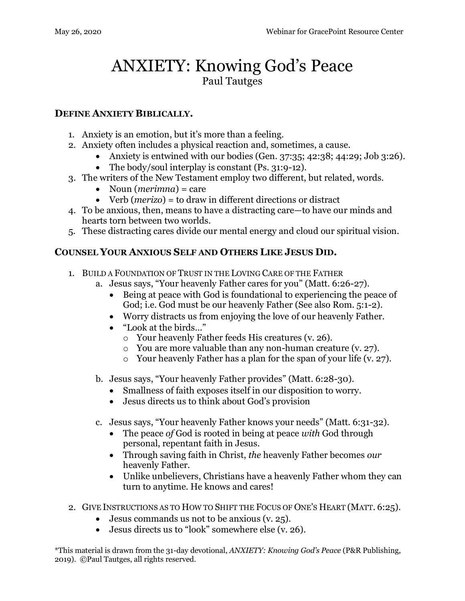## ANXIETY: Knowing God's Peace Paul Tautges

## **DEFINE ANXIETY BIBLICALLY.**

- 1. Anxiety is an emotion, but it's more than a feeling.
- 2. Anxiety often includes a physical reaction and, sometimes, a cause.
	- Anxiety is entwined with our bodies (Gen. 37:35; 42:38; 44:29; Job 3:26).
	- The body/soul interplay is constant (Ps. 31:9-12).
- 3. The writers of the New Testament employ two different, but related, words.
	- Noun (*merimna*) = care
	- Verb (*merizo*) = to draw in different directions or distract
- 4. To be anxious, then, means to have a distracting care—to have our minds and hearts torn between two worlds.
- 5. These distracting cares divide our mental energy and cloud our spiritual vision.

## **COUNSEL YOUR ANXIOUS SELF AND OTHERS LIKE JESUS DID.**

- 1. BUILD A FOUNDATION OF TRUST IN THE LOVING CARE OF THE FATHER
	- a. Jesus says, "Your heavenly Father cares for you" (Matt. 6:26-27).
		- Being at peace with God is foundational to experiencing the peace of God; i.e. God must be our heavenly Father (See also Rom. 5:1-2).
		- Worry distracts us from enjoying the love of our heavenly Father.
		- "Look at the birds…"
			- o Your heavenly Father feeds His creatures (v. 26).
			- o You are more valuable than any non-human creature (v. 27).
			- o Your heavenly Father has a plan for the span of your life (v. 27).
	- b. Jesus says, "Your heavenly Father provides" (Matt. 6:28-30).
		- Smallness of faith exposes itself in our disposition to worry.
		- Jesus directs us to think about God's provision
	- c. Jesus says, "Your heavenly Father knows your needs" (Matt. 6:31-32).
		- The peace *of* God is rooted in being at peace *with* God through personal, repentant faith in Jesus.
		- Through saving faith in Christ, *the* heavenly Father becomes *our* heavenly Father.
		- Unlike unbelievers, Christians have a heavenly Father whom they can turn to anytime. He knows and cares!
- 2. GIVE INSTRUCTIONS AS TO HOW TO SHIFT THE FOCUS OF ONE'S HEART (MATT. 6:25).
	- Jesus commands us not to be anxious (v. 25).
	- Jesus directs us to "look" somewhere else (v. 26).

\*This material is drawn from the 31-day devotional, *ANXIETY: Knowing God's Peace* (P&R Publishing, 2019). ©Paul Tautges, all rights reserved.